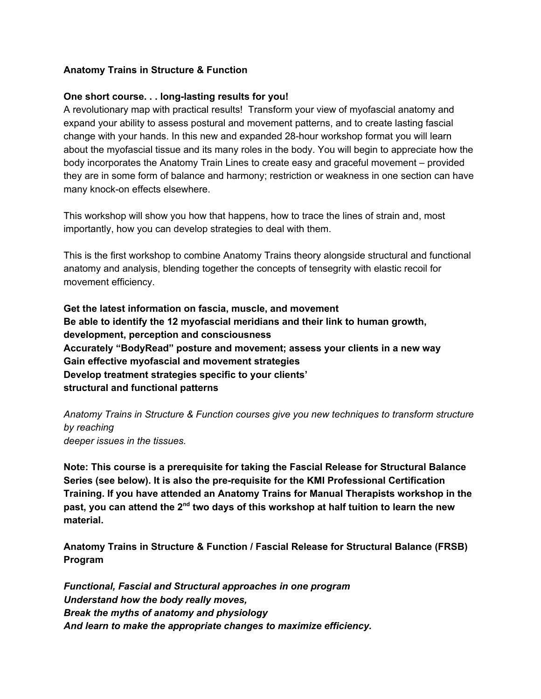## **Anatomy Trains in Structure & Function**

## **One short course. . . long-lasting results for you!**

A revolutionary map with practical results! Transform your view of myofascial anatomy and expand your ability to assess postural and movement patterns, and to create lasting fascial change with your hands. In this new and expanded 28-hour workshop format you will learn about the myofascial tissue and its many roles in the body. You will begin to appreciate how the body incorporates the Anatomy Train Lines to create easy and graceful movement – provided they are in some form of balance and harmony; restriction or weakness in one section can have many knock-on effects elsewhere.

This workshop will show you how that happens, how to trace the lines of strain and, most importantly, how you can develop strategies to deal with them.

This is the first workshop to combine Anatomy Trains theory alongside structural and functional anatomy and analysis, blending together the concepts of tensegrity with elastic recoil for movement efficiency.

**Get the latest information on fascia, muscle, and movement Be able to identify the 12 myofascial meridians and their link to human growth, development, perception and consciousness Accurately "BodyRead" posture and movement; assess your clients in a new way Gain effective myofascial and movement strategies Develop treatment strategies specific to your clients' structural and functional patterns**

*Anatomy Trains in Structure & Function courses give you new techniques to transform structure by reaching deeper issues in the tissues.*

**Note: This course is a prerequisite for taking the Fascial Release for Structural Balance Series (see below). It is also the pre-requisite for the KMI Professional Certification Training. If you have attended an Anatomy Trains for Manual Therapists workshop in the**  ${\bf p}$ ast, you can attend the 2 $^{\rm nd}$  two days of this workshop at half tuition to learn the new **material.**

**Anatomy Trains in Structure & Function / Fascial Release for Structural Balance (FRSB) Program**

*Functional, Fascial and Structural approaches in one program Understand how the body really moves, Break the myths of anatomy and physiology And learn to make the appropriate changes to maximize efficiency.*